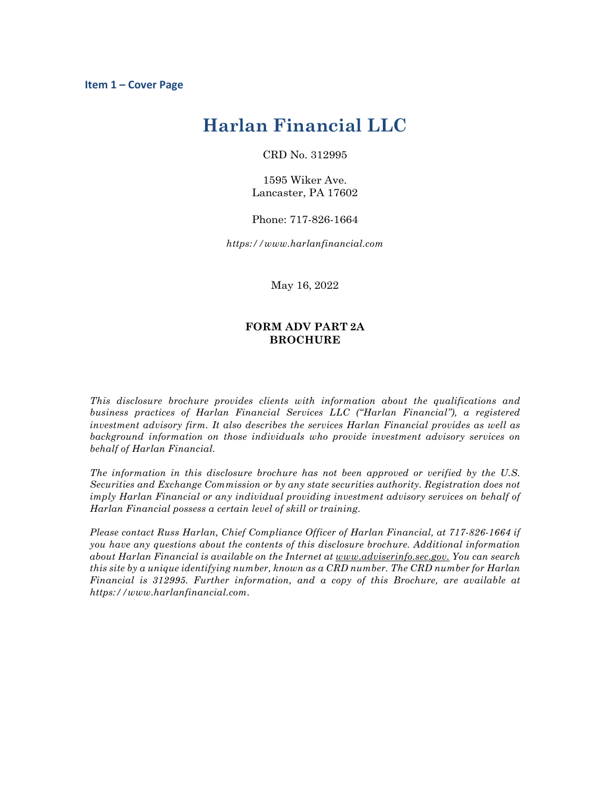# **Harlan Financial LLC**

CRD No. 312995

1595 Wiker Ave. Lancaster, PA 17602

Phone: 717-826-1664

*https://www.harlanfinancial.com*

May 16, 2022

## **FORM ADV PART 2A BROCHURE**

*This disclosure brochure provides clients with information about the qualifications and business practices of Harlan Financial Services LLC ("Harlan Financial"), a registered investment advisory firm. It also describes the services Harlan Financial provides as well as background information on those individuals who provide investment advisory services on behalf of Harlan Financial.*

*The information in this disclosure brochure has not been approved or verified by the U.S. Securities and Exchange Commission or by any state securities authority. Registration does not imply Harlan Financial or any individual providing investment advisory services on behalf of Harlan Financial possess a certain level of skill or training.*

*Please contact Russ Harlan, Chief Compliance Officer of Harlan Financial, at 717-826-1664 if you have any questions about the contents of this disclosure brochure. Additional information about Harlan Financial is available on the Internet at www.adviserinfo.sec.gov. You can search this site by a unique identifying number, known as a CRD number. The CRD number for Harlan Financial is 312995. Further information, and a copy of this Brochure, are available at https://www.harlanfinancial.com.*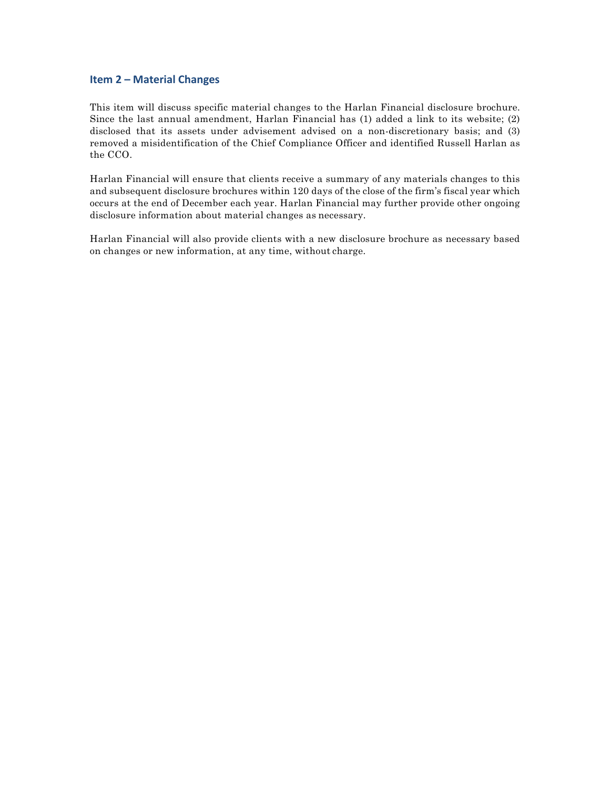## **Item 2 – Material Changes**

This item will discuss specific material changes to the Harlan Financial disclosure brochure. Since the last annual amendment, Harlan Financial has (1) added a link to its website; (2) disclosed that its assets under advisement advised on a non-discretionary basis; and (3) removed a misidentification of the Chief Compliance Officer and identified Russell Harlan as the CCO.

Harlan Financial will ensure that clients receive a summary of any materials changes to this and subsequent disclosure brochures within 120 days of the close of the firm's fiscal year which occurs at the end of December each year. Harlan Financial may further provide other ongoing disclosure information about material changes as necessary.

Harlan Financial will also provide clients with a new disclosure brochure as necessary based on changes or new information, at any time, without charge.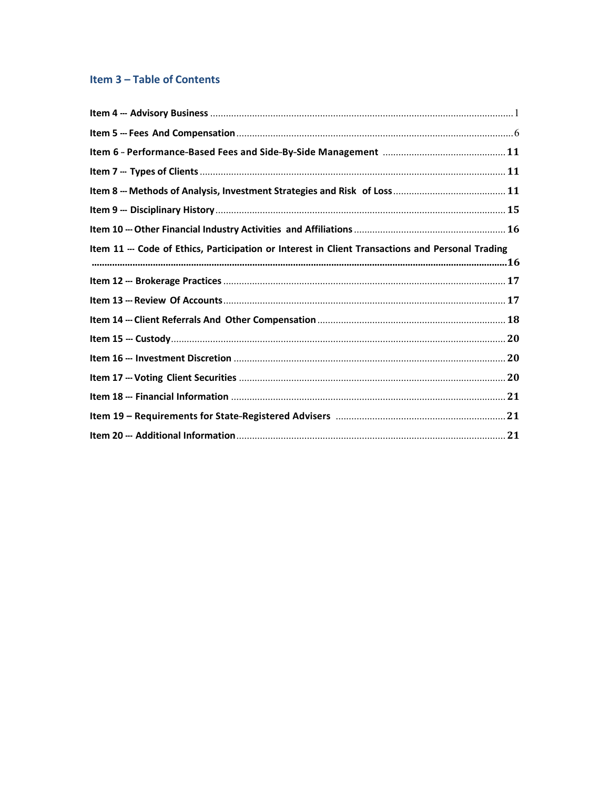# Item 3 - Table of Contents

| Item 11 --- Code of Ethics, Participation or Interest in Client Transactions and Personal Trading |  |
|---------------------------------------------------------------------------------------------------|--|
|                                                                                                   |  |
|                                                                                                   |  |
|                                                                                                   |  |
|                                                                                                   |  |
|                                                                                                   |  |
|                                                                                                   |  |
|                                                                                                   |  |
|                                                                                                   |  |
|                                                                                                   |  |
|                                                                                                   |  |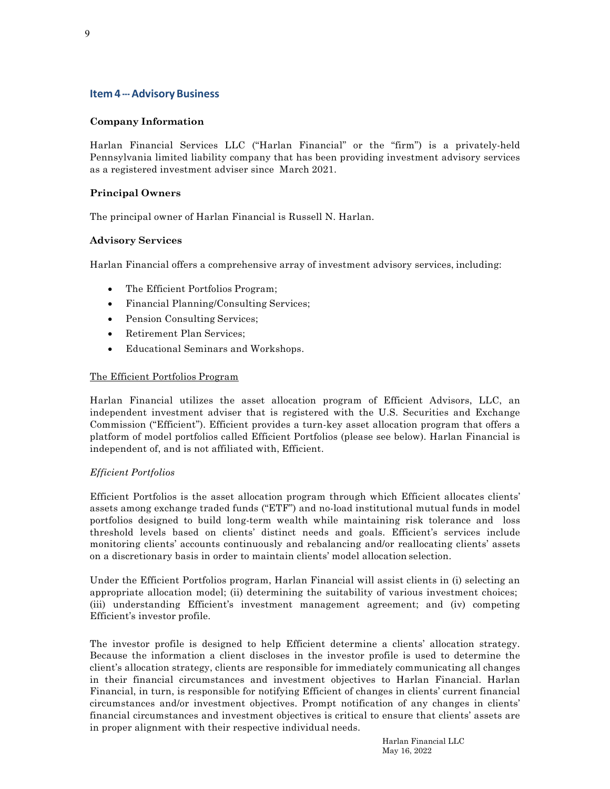# **Item 4 --- Advisory Business**

# **Company Information**

Harlan Financial Services LLC ("Harlan Financial" or the "firm") is a privately-held Pennsylvania limited liability company that has been providing investment advisory services as a registered investment adviser since March 2021.

## **Principal Owners**

The principal owner of Harlan Financial is Russell N. Harlan.

## **Advisory Services**

Harlan Financial offers a comprehensive array of investment advisory services, including:

- The Efficient Portfolios Program;
- Financial Planning/Consulting Services;
- Pension Consulting Services;
- Retirement Plan Services;
- Educational Seminars and Workshops.

## The Efficient Portfolios Program

Harlan Financial utilizes the asset allocation program of Efficient Advisors, LLC, an independent investment adviser that is registered with the U.S. Securities and Exchange Commission ("Efficient"). Efficient provides a turn-key asset allocation program that offers a platform of model portfolios called Efficient Portfolios (please see below). Harlan Financial is independent of, and is not affiliated with, Efficient.

## *Efficient Portfolios*

Efficient Portfolios is the asset allocation program through which Efficient allocates clients' assets among exchange traded funds ("ETF") and no-load institutional mutual funds in model portfolios designed to build long-term wealth while maintaining risk tolerance and loss threshold levels based on clients' distinct needs and goals. Efficient's services include monitoring clients' accounts continuously and rebalancing and/or reallocating clients' assets on a discretionary basis in order to maintain clients' model allocation selection.

Under the Efficient Portfolios program, Harlan Financial will assist clients in (i) selecting an appropriate allocation model; (ii) determining the suitability of various investment choices; (iii) understanding Efficient's investment management agreement; and (iv) competing Efficient's investor profile.

The investor profile is designed to help Efficient determine a clients' allocation strategy. Because the information a client discloses in the investor profile is used to determine the client's allocation strategy, clients are responsible for immediately communicating all changes in their financial circumstances and investment objectives to Harlan Financial. Harlan Financial, in turn, is responsible for notifying Efficient of changes in clients' current financial circumstances and/or investment objectives. Prompt notification of any changes in clients' financial circumstances and investment objectives is critical to ensure that clients' assets are in proper alignment with their respective individual needs.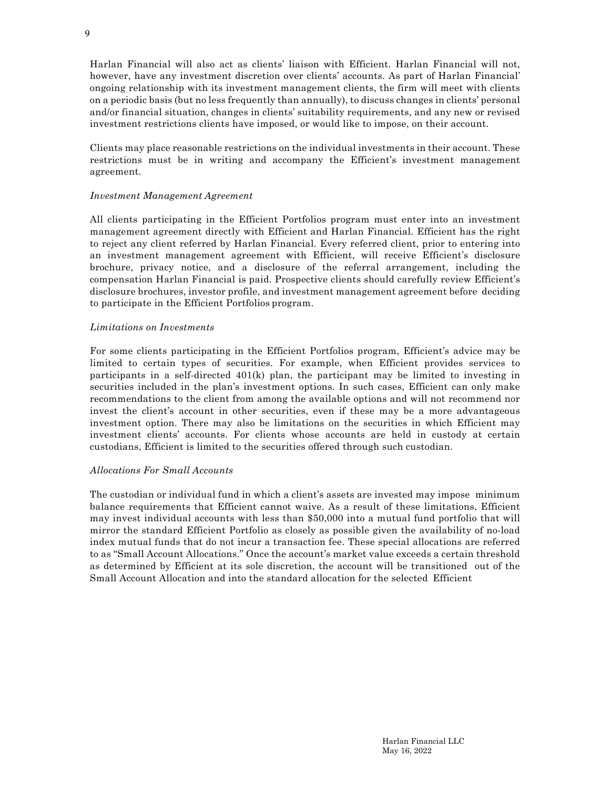Harlan Financial will also act as clients' liaison with Efficient. Harlan Financial will not, however, have any investment discretion over clients' accounts. As part of Harlan Financial' ongoing relationship with its investment management clients, the firm will meet with clients on a periodic basis (but no less frequently than annually), to discuss changes in clients' personal and/or financial situation, changes in clients' suitability requirements, and any new or revised investment restrictions clients have imposed, or would like to impose, on their account.

Clients may place reasonable restrictions on the individual investments in their account. These restrictions must be in writing and accompany the Efficient's investment management agreement.

#### *Investment Management Agreement*

All clients participating in the Efficient Portfolios program must enter into an investment management agreement directly with Efficient and Harlan Financial. Efficient has the right to reject any client referred by Harlan Financial. Every referred client, prior to entering into an investment management agreement with Efficient, will receive Efficient's disclosure brochure, privacy notice, and a disclosure of the referral arrangement, including the compensation Harlan Financial is paid. Prospective clients should carefully review Efficient's disclosure brochures, investor profile, and investment management agreement before deciding to participate in the Efficient Portfolios program.

#### *Limitations on Investments*

For some clients participating in the Efficient Portfolios program, Efficient's advice may be limited to certain types of securities. For example, when Efficient provides services to participants in a self-directed 401(k) plan, the participant may be limited to investing in securities included in the plan's investment options. In such cases, Efficient can only make recommendations to the client from among the available options and will not recommend nor invest the client's account in other securities, even if these may be a more advantageous investment option. There may also be limitations on the securities in which Efficient may investment clients' accounts. For clients whose accounts are held in custody at certain custodians, Efficient is limited to the securities offered through such custodian.

#### *Allocations For Small Accounts*

The custodian or individual fund in which a client's assets are invested may impose minimum balance requirements that Efficient cannot waive. As a result of these limitations, Efficient may invest individual accounts with less than \$50,000 into a mutual fund portfolio that will mirror the standard Efficient Portfolio as closely as possible given the availability of no-load index mutual funds that do not incur a transaction fee. These special allocations are referred to as "Small Account Allocations." Once the account's market value exceeds a certain threshold as determined by Efficient at its sole discretion, the account will be transitioned out of the Small Account Allocation and into the standard allocation for the selected Efficient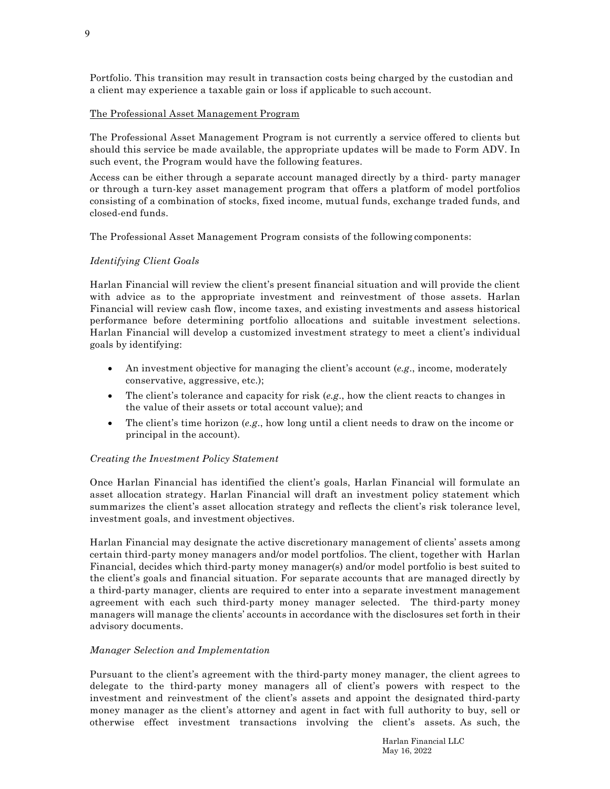Portfolio. This transition may result in transaction costs being charged by the custodian and a client may experience a taxable gain or loss if applicable to such account.

## The Professional Asset Management Program

The Professional Asset Management Program is not currently a service offered to clients but should this service be made available, the appropriate updates will be made to Form ADV. In such event, the Program would have the following features.

Access can be either through a separate account managed directly by a third- party manager or through a turn-key asset management program that offers a platform of model portfolios consisting of a combination of stocks, fixed income, mutual funds, exchange traded funds, and closed-end funds.

The Professional Asset Management Program consists of the following components:

## *Identifying Client Goals*

Harlan Financial will review the client's present financial situation and will provide the client with advice as to the appropriate investment and reinvestment of those assets. Harlan Financial will review cash flow, income taxes, and existing investments and assess historical performance before determining portfolio allocations and suitable investment selections. Harlan Financial will develop a customized investment strategy to meet a client's individual goals by identifying:

- An investment objective for managing the client's account (*e.g*., income, moderately conservative, aggressive, etc.);
- The client's tolerance and capacity for risk (*e.g*., how the client reacts to changes in the value of their assets or total account value); and
- The client's time horizon (*e.g*., how long until a client needs to draw on the income or principal in the account).

#### *Creating the Investment Policy Statement*

Once Harlan Financial has identified the client's goals, Harlan Financial will formulate an asset allocation strategy. Harlan Financial will draft an investment policy statement which summarizes the client's asset allocation strategy and reflects the client's risk tolerance level, investment goals, and investment objectives.

Harlan Financial may designate the active discretionary management of clients' assets among certain third-party money managers and/or model portfolios. The client, together with Harlan Financial, decides which third-party money manager(s) and/or model portfolio is best suited to the client's goals and financial situation. For separate accounts that are managed directly by a third-party manager, clients are required to enter into a separate investment management agreement with each such third-party money manager selected. The third-party money managers will manage the clients' accounts in accordance with the disclosures set forth in their advisory documents.

#### *Manager Selection and Implementation*

Pursuant to the client's agreement with the third-party money manager, the client agrees to delegate to the third-party money managers all of client's powers with respect to the investment and reinvestment of the client's assets and appoint the designated third-party money manager as the client's attorney and agent in fact with full authority to buy, sell or otherwise effect investment transactions involving the client's assets. As such, the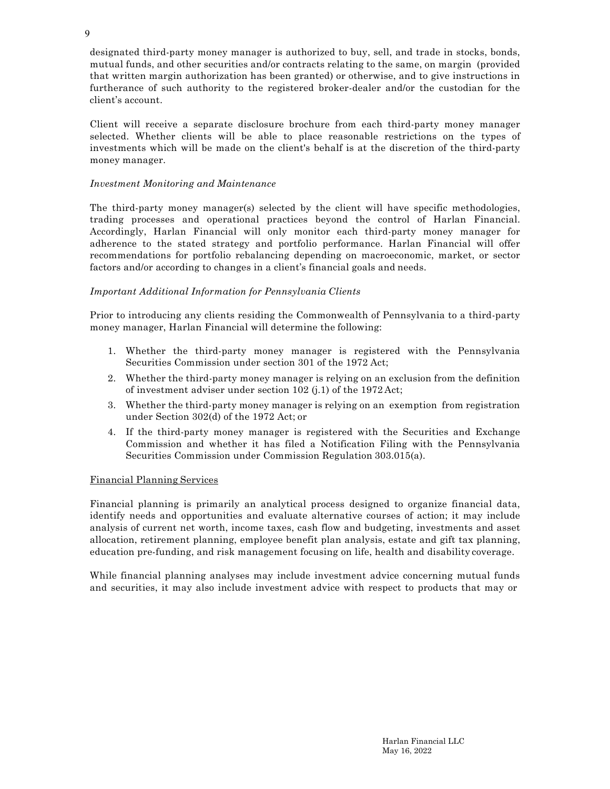designated third-party money manager is authorized to buy, sell, and trade in stocks, bonds, mutual funds, and other securities and/or contracts relating to the same, on margin (provided that written margin authorization has been granted) or otherwise, and to give instructions in furtherance of such authority to the registered broker-dealer and/or the custodian for the client's account.

Client will receive a separate disclosure brochure from each third-party money manager selected. Whether clients will be able to place reasonable restrictions on the types of investments which will be made on the client's behalf is at the discretion of the third-party money manager.

## *Investment Monitoring and Maintenance*

The third-party money manager(s) selected by the client will have specific methodologies, trading processes and operational practices beyond the control of Harlan Financial. Accordingly, Harlan Financial will only monitor each third-party money manager for adherence to the stated strategy and portfolio performance. Harlan Financial will offer recommendations for portfolio rebalancing depending on macroeconomic, market, or sector factors and/or according to changes in a client's financial goals and needs.

# *Important Additional Information for Pennsylvania Clients*

Prior to introducing any clients residing the Commonwealth of Pennsylvania to a third-party money manager, Harlan Financial will determine the following:

- 1. Whether the third-party money manager is registered with the Pennsylvania Securities Commission under section 301 of the 1972 Act;
- 2. Whether the third-party money manager is relying on an exclusion from the definition of investment adviser under section 102 (j.1) of the 1972 Act;
- 3. Whether the third-party money manager is relying on an exemption from registration under Section 302(d) of the 1972 Act; or
- 4. If the third-party money manager is registered with the Securities and Exchange Commission and whether it has filed a Notification Filing with the Pennsylvania Securities Commission under Commission Regulation 303.015(a).

## Financial Planning Services

Financial planning is primarily an analytical process designed to organize financial data, identify needs and opportunities and evaluate alternative courses of action; it may include analysis of current net worth, income taxes, cash flow and budgeting, investments and asset allocation, retirement planning, employee benefit plan analysis, estate and gift tax planning, education pre-funding, and risk management focusing on life, health and disability coverage.

While financial planning analyses may include investment advice concerning mutual funds and securities, it may also include investment advice with respect to products that may or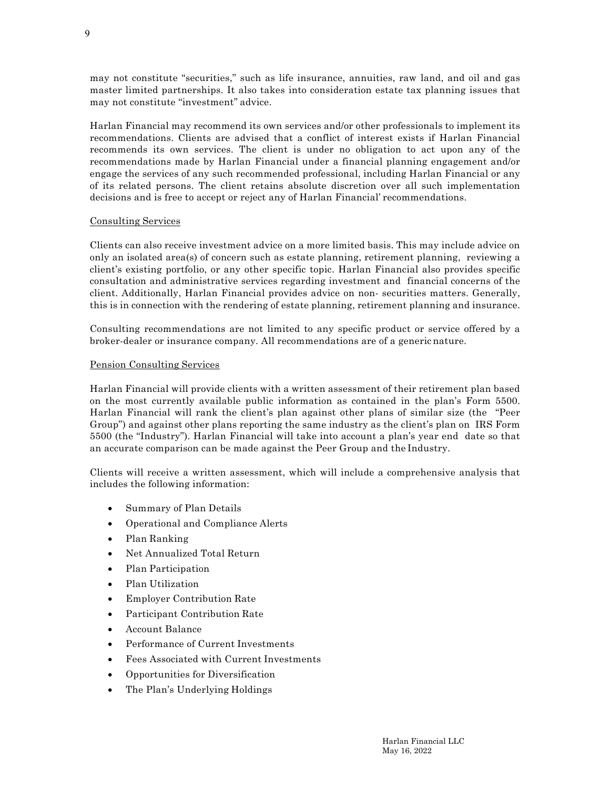may not constitute "securities," such as life insurance, annuities, raw land, and oil and gas master limited partnerships. It also takes into consideration estate tax planning issues that may not constitute "investment" advice.

Harlan Financial may recommend its own services and/or other professionals to implement its recommendations. Clients are advised that a conflict of interest exists if Harlan Financial recommends its own services. The client is under no obligation to act upon any of the recommendations made by Harlan Financial under a financial planning engagement and/or engage the services of any such recommended professional, including Harlan Financial or any of its related persons. The client retains absolute discretion over all such implementation decisions and is free to accept or reject any of Harlan Financial' recommendations.

## Consulting Services

Clients can also receive investment advice on a more limited basis. This may include advice on only an isolated area(s) of concern such as estate planning, retirement planning, reviewing a client's existing portfolio, or any other specific topic. Harlan Financial also provides specific consultation and administrative services regarding investment and financial concerns of the client. Additionally, Harlan Financial provides advice on non- securities matters. Generally, this is in connection with the rendering of estate planning, retirement planning and insurance.

Consulting recommendations are not limited to any specific product or service offered by a broker-dealer or insurance company. All recommendations are of a generic nature.

#### Pension Consulting Services

Harlan Financial will provide clients with a written assessment of their retirement plan based on the most currently available public information as contained in the plan's Form 5500. Harlan Financial will rank the client's plan against other plans of similar size (the "Peer Group") and against other plans reporting the same industry as the client's plan on IRS Form 5500 (the "Industry"). Harlan Financial will take into account a plan's year end date so that an accurate comparison can be made against the Peer Group and the Industry.

Clients will receive a written assessment, which will include a comprehensive analysis that includes the following information:

- Summary of Plan Details
- Operational and Compliance Alerts
- Plan Ranking
- Net Annualized Total Return
- Plan Participation
- Plan Utilization
- Employer Contribution Rate
- Participant Contribution Rate
- Account Balance
- Performance of Current Investments
- Fees Associated with Current Investments
- Opportunities for Diversification
- The Plan's Underlying Holdings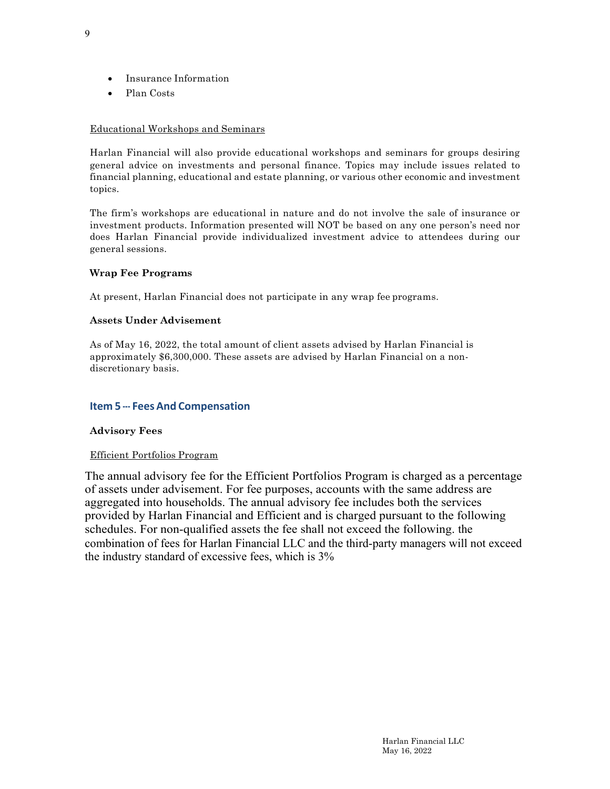- Insurance Information
- Plan Costs

## Educational Workshops and Seminars

Harlan Financial will also provide educational workshops and seminars for groups desiring general advice on investments and personal finance. Topics may include issues related to financial planning, educational and estate planning, or various other economic and investment topics.

The firm's workshops are educational in nature and do not involve the sale of insurance or investment products. Information presented will NOT be based on any one person's need nor does Harlan Financial provide individualized investment advice to attendees during our general sessions.

## **Wrap Fee Programs**

At present, Harlan Financial does not participate in any wrap fee programs.

## **Assets Under Advisement**

As of May 16, 2022, the total amount of client assets advised by Harlan Financial is approximately \$6,300,000. These assets are advised by Harlan Financial on a nondiscretionary basis.

# **Item 5 --- Fees And Compensation**

## **Advisory Fees**

## Efficient Portfolios Program

The annual advisory fee for the Efficient Portfolios Program is charged as a percentage of assets under advisement. For fee purposes, accounts with the same address are aggregated into households. The annual advisory fee includes both the services provided by Harlan Financial and Efficient and is charged pursuant to the following schedules. For non-qualified assets the fee shall not exceed the following. the combination of fees for Harlan Financial LLC and the third-party managers will not exceed the industry standard of excessive fees, which is 3%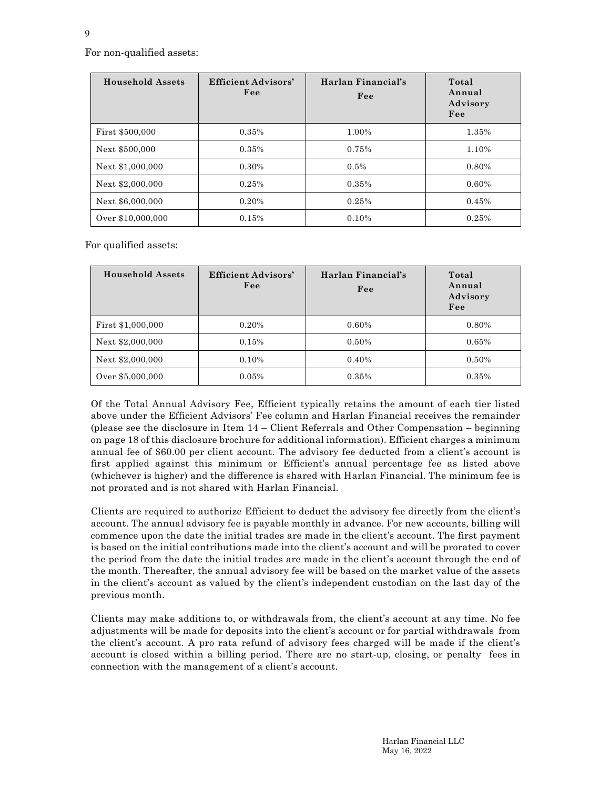For non-qualified assets:

| <b>Household Assets</b> | <b>Efficient Advisors'</b><br>Fee | Harlan Financial's<br>Fee | Total<br>Annual<br>Advisory<br>Fee |
|-------------------------|-----------------------------------|---------------------------|------------------------------------|
| First \$500,000         | 0.35%                             | 1.00%                     | 1.35%                              |
| Next \$500,000          | 0.35%                             | 0.75%                     | 1.10%                              |
| Next \$1,000,000        | 0.30%                             | 0.5%                      | 0.80%                              |
| Next \$2,000,000        | 0.25%                             | 0.35%                     | 0.60%                              |
| Next \$6,000,000        | 0.20%                             | 0.25%                     | 0.45%                              |
| Over \$10,000,000       | 0.15%                             | 0.10%                     | 0.25%                              |

For qualified assets:

| <b>Household Assets</b> | <b>Efficient Advisors'</b><br>Fee | Harlan Financial's<br>Fee | Total<br>Annual<br>Advisory<br>Fee |
|-------------------------|-----------------------------------|---------------------------|------------------------------------|
| First \$1,000,000       | 0.20%                             | 0.60%                     | 0.80%                              |
| Next \$2,000,000        | 0.15%                             | 0.50%                     | 0.65%                              |
| Next \$2,000,000        | 0.10%                             | 0.40%                     | 0.50%                              |
| Over \$5,000,000        | 0.05%                             | 0.35%                     | 0.35%                              |

Of the Total Annual Advisory Fee, Efficient typically retains the amount of each tier listed above under the Efficient Advisors' Fee column and Harlan Financial receives the remainder (please see the disclosure in Item 14 – Client Referrals and Other Compensation – beginning on page 18 of this disclosure brochure for additional information). Efficient charges a minimum annual fee of \$60.00 per client account. The advisory fee deducted from a client's account is first applied against this minimum or Efficient's annual percentage fee as listed above (whichever is higher) and the difference is shared with Harlan Financial. The minimum fee is not prorated and is not shared with Harlan Financial.

Clients are required to authorize Efficient to deduct the advisory fee directly from the client's account. The annual advisory fee is payable monthly in advance. For new accounts, billing will commence upon the date the initial trades are made in the client's account. The first payment is based on the initial contributions made into the client's account and will be prorated to cover the period from the date the initial trades are made in the client's account through the end of the month. Thereafter, the annual advisory fee will be based on the market value of the assets in the client's account as valued by the client's independent custodian on the last day of the previous month.

Clients may make additions to, or withdrawals from, the client's account at any time. No fee adjustments will be made for deposits into the client's account or for partial withdrawals from the client's account. A pro rata refund of advisory fees charged will be made if the client's account is closed within a billing period. There are no start-up, closing, or penalty fees in connection with the management of a client's account.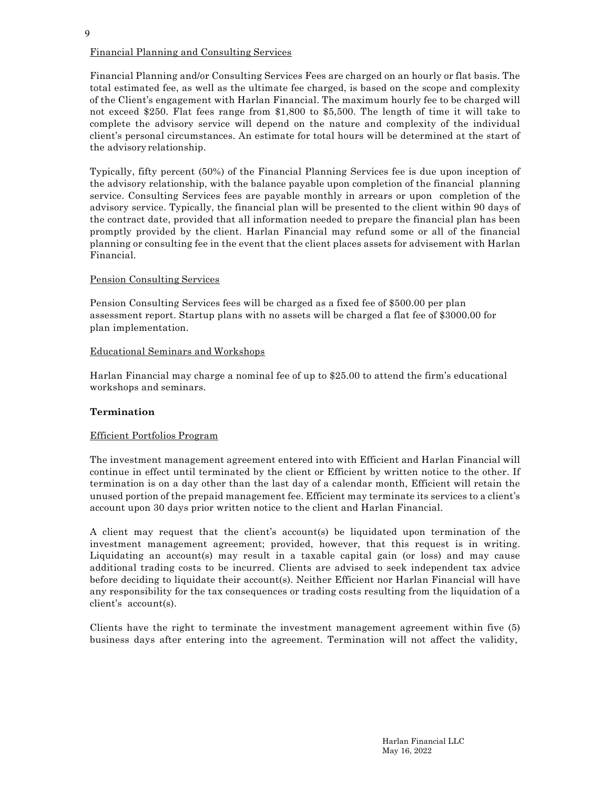Financial Planning and/or Consulting Services Fees are charged on an hourly or flat basis. The total estimated fee, as well as the ultimate fee charged, is based on the scope and complexity of the Client's engagement with Harlan Financial. The maximum hourly fee to be charged will not exceed \$250. Flat fees range from \$1,800 to \$5,500. The length of time it will take to complete the advisory service will depend on the nature and complexity of the individual client's personal circumstances. An estimate for total hours will be determined at the start of the advisory relationship.

Typically, fifty percent (50%) of the Financial Planning Services fee is due upon inception of the advisory relationship, with the balance payable upon completion of the financial planning service. Consulting Services fees are payable monthly in arrears or upon completion of the advisory service. Typically, the financial plan will be presented to the client within 90 days of the contract date, provided that all information needed to prepare the financial plan has been promptly provided by the client. Harlan Financial may refund some or all of the financial planning or consulting fee in the event that the client places assets for advisement with Harlan Financial.

# Pension Consulting Services

Pension Consulting Services fees will be charged as a fixed fee of \$500.00 per plan assessment report. Startup plans with no assets will be charged a flat fee of \$3000.00 for plan implementation.

## Educational Seminars and Workshops

Harlan Financial may charge a nominal fee of up to \$25.00 to attend the firm's educational workshops and seminars.

# **Termination**

## Efficient Portfolios Program

The investment management agreement entered into with Efficient and Harlan Financial will continue in effect until terminated by the client or Efficient by written notice to the other. If termination is on a day other than the last day of a calendar month, Efficient will retain the unused portion of the prepaid management fee. Efficient may terminate its services to a client's account upon 30 days prior written notice to the client and Harlan Financial.

A client may request that the client's account(s) be liquidated upon termination of the investment management agreement; provided, however, that this request is in writing. Liquidating an account(s) may result in a taxable capital gain (or loss) and may cause additional trading costs to be incurred. Clients are advised to seek independent tax advice before deciding to liquidate their account(s). Neither Efficient nor Harlan Financial will have any responsibility for the tax consequences or trading costs resulting from the liquidation of a client's account(s).

Clients have the right to terminate the investment management agreement within five (5) business days after entering into the agreement. Termination will not affect the validity,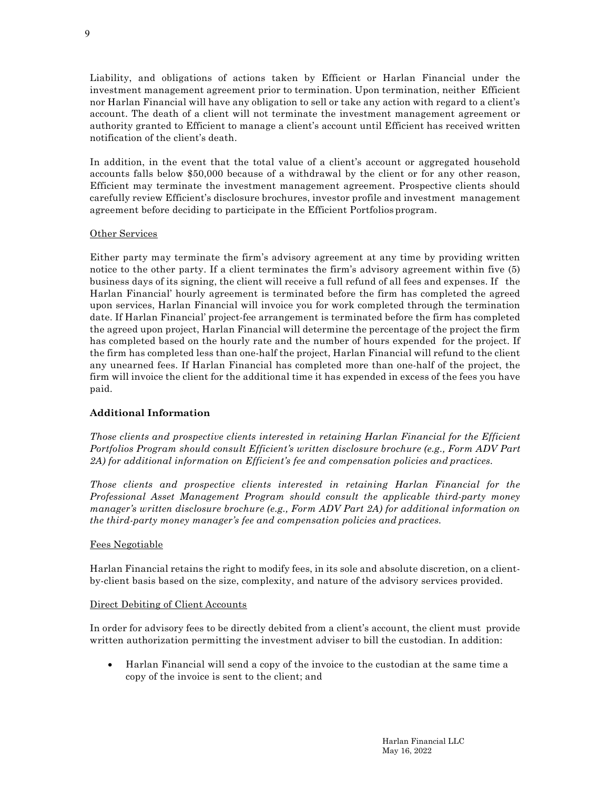Liability, and obligations of actions taken by Efficient or Harlan Financial under the investment management agreement prior to termination. Upon termination, neither Efficient nor Harlan Financial will have any obligation to sell or take any action with regard to a client's account. The death of a client will not terminate the investment management agreement or authority granted to Efficient to manage a client's account until Efficient has received written notification of the client's death.

In addition, in the event that the total value of a client's account or aggregated household accounts falls below \$50,000 because of a withdrawal by the client or for any other reason, Efficient may terminate the investment management agreement. Prospective clients should carefully review Efficient's disclosure brochures, investor profile and investment management agreement before deciding to participate in the Efficient Portfolios program.

## Other Services

Either party may terminate the firm's advisory agreement at any time by providing written notice to the other party. If a client terminates the firm's advisory agreement within five (5) business days of its signing, the client will receive a full refund of all fees and expenses. If the Harlan Financial' hourly agreement is terminated before the firm has completed the agreed upon services, Harlan Financial will invoice you for work completed through the termination date. If Harlan Financial' project-fee arrangement is terminated before the firm has completed the agreed upon project, Harlan Financial will determine the percentage of the project the firm has completed based on the hourly rate and the number of hours expended for the project. If the firm has completed less than one-half the project, Harlan Financial will refund to the client any unearned fees. If Harlan Financial has completed more than one-half of the project, the firm will invoice the client for the additional time it has expended in excess of the fees you have paid.

# **Additional Information**

*Those clients and prospective clients interested in retaining Harlan Financial for the Efficient Portfolios Program should consult Efficient's written disclosure brochure (e.g., Form ADV Part 2A) for additional information on Efficient's fee and compensation policies and practices.*

*Those clients and prospective clients interested in retaining Harlan Financial for the Professional Asset Management Program should consult the applicable third-party money manager's written disclosure brochure (e.g., Form ADV Part 2A) for additional information on the third-party money manager's fee and compensation policies and practices.*

## Fees Negotiable

Harlan Financial retains the right to modify fees, in its sole and absolute discretion, on a clientby-client basis based on the size, complexity, and nature of the advisory services provided.

## Direct Debiting of Client Accounts

In order for advisory fees to be directly debited from a client's account, the client must provide written authorization permitting the investment adviser to bill the custodian. In addition:

• Harlan Financial will send a copy of the invoice to the custodian at the same time a copy of the invoice is sent to the client; and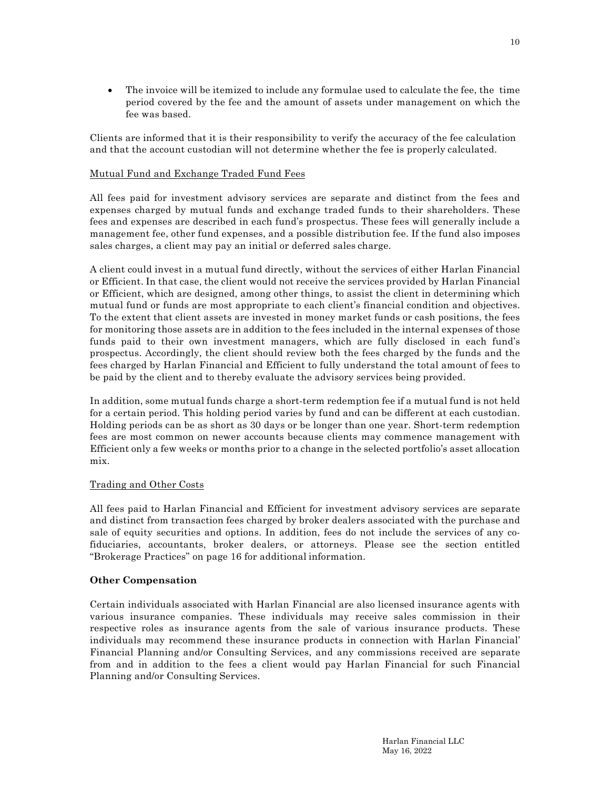• The invoice will be itemized to include any formulae used to calculate the fee, the time period covered by the fee and the amount of assets under management on which the fee was based.

Clients are informed that it is their responsibility to verify the accuracy of the fee calculation and that the account custodian will not determine whether the fee is properly calculated.

## Mutual Fund and Exchange Traded Fund Fees

All fees paid for investment advisory services are separate and distinct from the fees and expenses charged by mutual funds and exchange traded funds to their shareholders. These fees and expenses are described in each fund's prospectus. These fees will generally include a management fee, other fund expenses, and a possible distribution fee. If the fund also imposes sales charges, a client may pay an initial or deferred sales charge.

A client could invest in a mutual fund directly, without the services of either Harlan Financial or Efficient. In that case, the client would not receive the services provided by Harlan Financial or Efficient, which are designed, among other things, to assist the client in determining which mutual fund or funds are most appropriate to each client's financial condition and objectives. To the extent that client assets are invested in money market funds or cash positions, the fees for monitoring those assets are in addition to the fees included in the internal expenses of those funds paid to their own investment managers, which are fully disclosed in each fund's prospectus. Accordingly, the client should review both the fees charged by the funds and the fees charged by Harlan Financial and Efficient to fully understand the total amount of fees to be paid by the client and to thereby evaluate the advisory services being provided.

In addition, some mutual funds charge a short-term redemption fee if a mutual fund is not held for a certain period. This holding period varies by fund and can be different at each custodian. Holding periods can be as short as 30 days or be longer than one year. Short-term redemption fees are most common on newer accounts because clients may commence management with Efficient only a few weeks or months prior to a change in the selected portfolio's asset allocation mix.

#### Trading and Other Costs

All fees paid to Harlan Financial and Efficient for investment advisory services are separate and distinct from transaction fees charged by broker dealers associated with the purchase and sale of equity securities and options. In addition, fees do not include the services of any cofiduciaries, accountants, broker dealers, or attorneys. Please see the section entitled "Brokerage Practices" on page 16 for additional information.

#### **Other Compensation**

Certain individuals associated with Harlan Financial are also licensed insurance agents with various insurance companies. These individuals may receive sales commission in their respective roles as insurance agents from the sale of various insurance products. These individuals may recommend these insurance products in connection with Harlan Financial' Financial Planning and/or Consulting Services, and any commissions received are separate from and in addition to the fees a client would pay Harlan Financial for such Financial Planning and/or Consulting Services.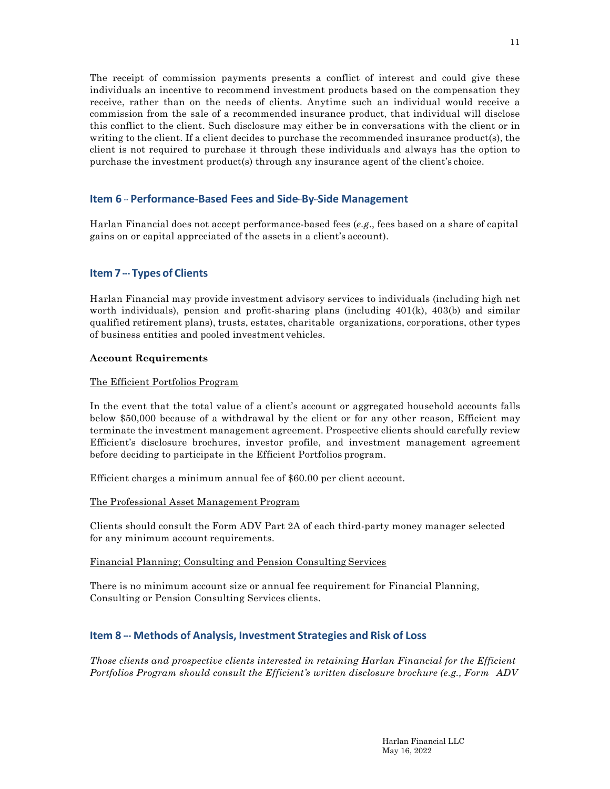The receipt of commission payments presents a conflict of interest and could give these individuals an incentive to recommend investment products based on the compensation they receive, rather than on the needs of clients. Anytime such an individual would receive a commission from the sale of a recommended insurance product, that individual will disclose this conflict to the client. Such disclosure may either be in conversations with the client or in writing to the client. If a client decides to purchase the recommended insurance product(s), the client is not required to purchase it through these individuals and always has the option to purchase the investment product(s) through any insurance agent of the client's choice.

## **Item 6** – Performance-Based Fees and Side-By-Side Management

Harlan Financial does not accept performance-based fees (*e.g*., fees based on a share of capital gains on or capital appreciated of the assets in a client's account).

# **Item 7 --- Types of Clients**

Harlan Financial may provide investment advisory services to individuals (including high net worth individuals), pension and profit-sharing plans (including 401(k), 403(b) and similar qualified retirement plans), trusts, estates, charitable organizations, corporations, other types of business entities and pooled investment vehicles.

#### **Account Requirements**

#### The Efficient Portfolios Program

In the event that the total value of a client's account or aggregated household accounts falls below \$50,000 because of a withdrawal by the client or for any other reason, Efficient may terminate the investment management agreement. Prospective clients should carefully review Efficient's disclosure brochures, investor profile, and investment management agreement before deciding to participate in the Efficient Portfolios program.

Efficient charges a minimum annual fee of \$60.00 per client account.

## The Professional Asset Management Program

Clients should consult the Form ADV Part 2A of each third-party money manager selected for any minimum account requirements.

## Financial Planning; Consulting and Pension Consulting Services

There is no minimum account size or annual fee requirement for Financial Planning, Consulting or Pension Consulting Services clients.

# **Item 8 --- Methods of Analysis, Investment Strategies and Risk of Loss**

*Those clients and prospective clients interested in retaining Harlan Financial for the Efficient Portfolios Program should consult the Efficient's written disclosure brochure (e.g., Form ADV*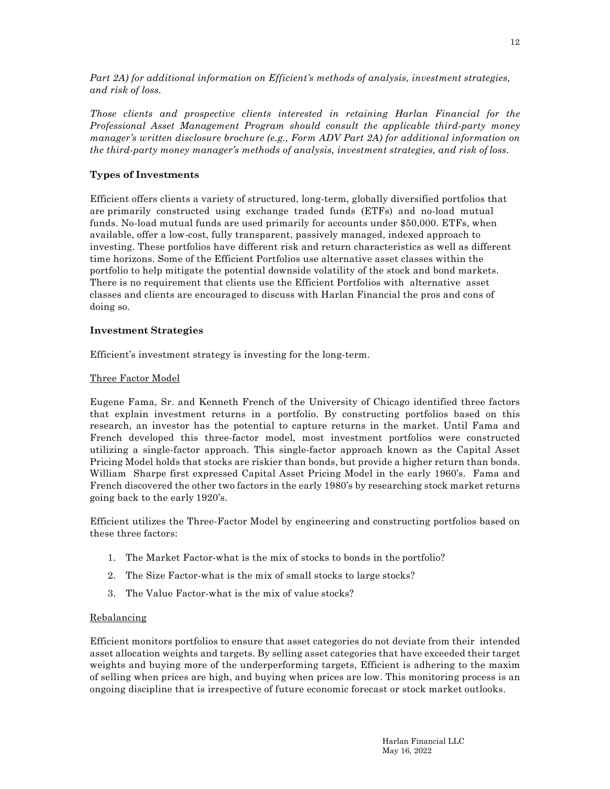*Part 2A) for additional information on Efficient's methods of analysis, investment strategies, and risk of loss.*

*Those clients and prospective clients interested in retaining Harlan Financial for the Professional Asset Management Program should consult the applicable third-party money manager's written disclosure brochure (e.g., Form ADV Part 2A) for additional information on the third-party money manager's methods of analysis, investment strategies, and risk of loss.*

## **Types of Investments**

Efficient offers clients a variety of structured, long-term, globally diversified portfolios that are primarily constructed using exchange traded funds (ETFs) and no-load mutual funds. No-load mutual funds are used primarily for accounts under \$50,000. ETFs, when available, offer a low-cost, fully transparent, passively managed, indexed approach to investing. These portfolios have different risk and return characteristics as well as different time horizons. Some of the Efficient Portfolios use alternative asset classes within the portfolio to help mitigate the potential downside volatility of the stock and bond markets. There is no requirement that clients use the Efficient Portfolios with alternative asset classes and clients are encouraged to discuss with Harlan Financial the pros and cons of doing so.

## **Investment Strategies**

Efficient's investment strategy is investing for the long-term.

## Three Factor Model

Eugene Fama, Sr. and Kenneth French of the University of Chicago identified three factors that explain investment returns in a portfolio. By constructing portfolios based on this research, an investor has the potential to capture returns in the market. Until Fama and French developed this three-factor model, most investment portfolios were constructed utilizing a single-factor approach. This single-factor approach known as the Capital Asset Pricing Model holds that stocks are riskier than bonds, but provide a higher return than bonds. William Sharpe first expressed Capital Asset Pricing Model in the early 1960's. Fama and French discovered the other two factors in the early 1980's by researching stock market returns going back to the early 1920's.

Efficient utilizes the Three-Factor Model by engineering and constructing portfolios based on these three factors:

- 1. The Market Factor-what is the mix of stocks to bonds in the portfolio?
- 2. The Size Factor-what is the mix of small stocks to large stocks?
- 3. The Value Factor-what is the mix of value stocks?

#### Rebalancing

Efficient monitors portfolios to ensure that asset categories do not deviate from their intended asset allocation weights and targets. By selling asset categories that have exceeded their target weights and buying more of the underperforming targets, Efficient is adhering to the maxim of selling when prices are high, and buying when prices are low. This monitoring process is an ongoing discipline that is irrespective of future economic forecast or stock market outlooks.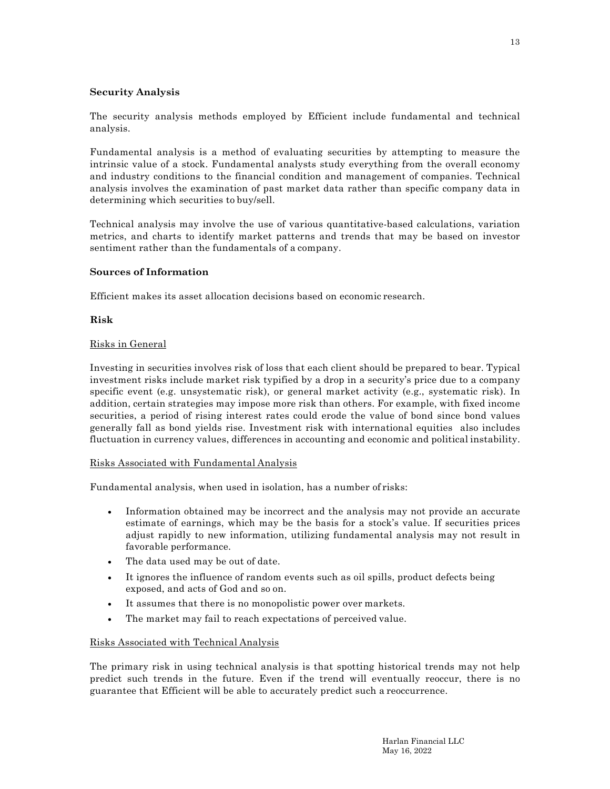## **Security Analysis**

The security analysis methods employed by Efficient include fundamental and technical analysis.

Fundamental analysis is a method of evaluating securities by attempting to measure the intrinsic value of a stock. Fundamental analysts study everything from the overall economy and industry conditions to the financial condition and management of companies. Technical analysis involves the examination of past market data rather than specific company data in determining which securities to buy/sell.

Technical analysis may involve the use of various quantitative-based calculations, variation metrics, and charts to identify market patterns and trends that may be based on investor sentiment rather than the fundamentals of a company.

## **Sources of Information**

Efficient makes its asset allocation decisions based on economic research.

## **Risk**

## Risks in General

Investing in securities involves risk of loss that each client should be prepared to bear. Typical investment risks include market risk typified by a drop in a security's price due to a company specific event (e.g. unsystematic risk), or general market activity (e.g., systematic risk). In addition, certain strategies may impose more risk than others. For example, with fixed income securities, a period of rising interest rates could erode the value of bond since bond values generally fall as bond yields rise. Investment risk with international equities also includes fluctuation in currency values, differences in accounting and economic and political instability.

## Risks Associated with Fundamental Analysis

Fundamental analysis, when used in isolation, has a number of risks:

- Information obtained may be incorrect and the analysis may not provide an accurate estimate of earnings, which may be the basis for a stock's value. If securities prices adjust rapidly to new information, utilizing fundamental analysis may not result in favorable performance.
- The data used may be out of date.
- It ignores the influence of random events such as oil spills, product defects being exposed, and acts of God and so on.
- It assumes that there is no monopolistic power over markets.
- The market may fail to reach expectations of perceived value.

## Risks Associated with Technical Analysis

The primary risk in using technical analysis is that spotting historical trends may not help predict such trends in the future. Even if the trend will eventually reoccur, there is no guarantee that Efficient will be able to accurately predict such a reoccurrence.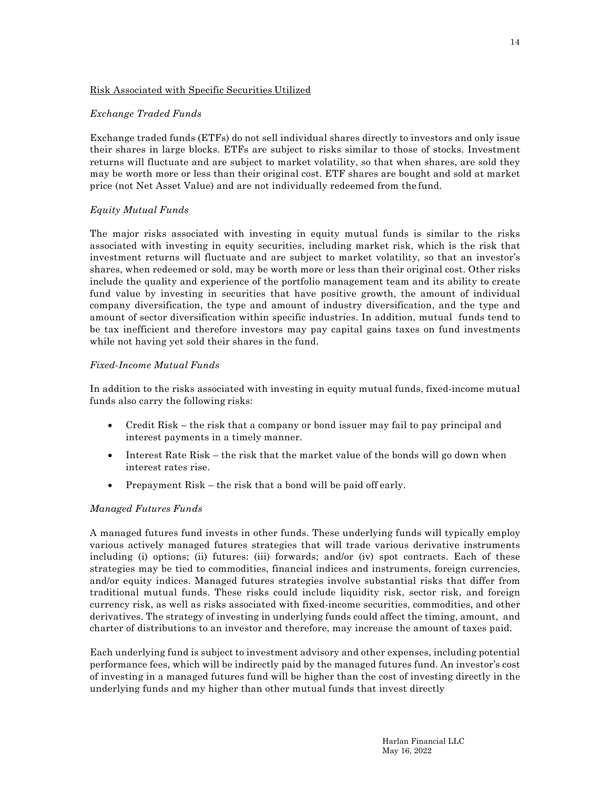## Risk Associated with Specific Securities Utilized

## *Exchange Traded Funds*

Exchange traded funds (ETFs) do not sell individual shares directly to investors and only issue their shares in large blocks. ETFs are subject to risks similar to those of stocks. Investment returns will fluctuate and are subject to market volatility, so that when shares, are sold they may be worth more or less than their original cost. ETF shares are bought and sold at market price (not Net Asset Value) and are not individually redeemed from the fund.

## *Equity Mutual Funds*

The major risks associated with investing in equity mutual funds is similar to the risks associated with investing in equity securities, including market risk, which is the risk that investment returns will fluctuate and are subject to market volatility, so that an investor's shares, when redeemed or sold, may be worth more or less than their original cost. Other risks include the quality and experience of the portfolio management team and its ability to create fund value by investing in securities that have positive growth, the amount of individual company diversification, the type and amount of industry diversification, and the type and amount of sector diversification within specific industries. In addition, mutual funds tend to be tax inefficient and therefore investors may pay capital gains taxes on fund investments while not having yet sold their shares in the fund.

#### *Fixed-Income Mutual Funds*

In addition to the risks associated with investing in equity mutual funds, fixed-income mutual funds also carry the following risks:

- Credit Risk the risk that a company or bond issuer may fail to pay principal and interest payments in a timely manner.
- Interest Rate Risk the risk that the market value of the bonds will go down when interest rates rise.
- Prepayment Risk the risk that a bond will be paid off early.

## *Managed Futures Funds*

A managed futures fund invests in other funds. These underlying funds will typically employ various actively managed futures strategies that will trade various derivative instruments including (i) options; (ii) futures: (iii) forwards; and/or (iv) spot contracts. Each of these strategies may be tied to commodities, financial indices and instruments, foreign currencies, and/or equity indices. Managed futures strategies involve substantial risks that differ from traditional mutual funds. These risks could include liquidity risk, sector risk, and foreign currency risk, as well as risks associated with fixed-income securities, commodities, and other derivatives. The strategy of investing in underlying funds could affect the timing, amount, and charter of distributions to an investor and therefore, may increase the amount of taxes paid.

Each underlying fund is subject to investment advisory and other expenses, including potential performance fees, which will be indirectly paid by the managed futures fund. An investor's cost of investing in a managed futures fund will be higher than the cost of investing directly in the underlying funds and my higher than other mutual funds that invest directly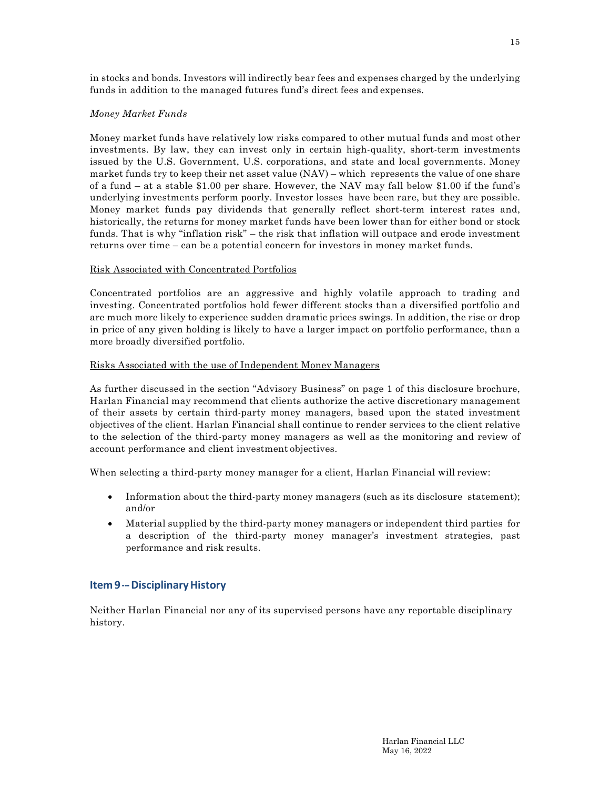# *Money Market Funds*

Money market funds have relatively low risks compared to other mutual funds and most other investments. By law, they can invest only in certain high-quality, short-term investments issued by the U.S. Government, U.S. corporations, and state and local governments. Money market funds try to keep their net asset value (NAV) – which represents the value of one share of a fund – at a stable \$1.00 per share. However, the NAV may fall below \$1.00 if the fund's underlying investments perform poorly. Investor losses have been rare, but they are possible. Money market funds pay dividends that generally reflect short-term interest rates and, historically, the returns for money market funds have been lower than for either bond or stock funds. That is why "inflation risk" – the risk that inflation will outpace and erode investment returns over time – can be a potential concern for investors in money market funds.

## Risk Associated with Concentrated Portfolios

Concentrated portfolios are an aggressive and highly volatile approach to trading and investing. Concentrated portfolios hold fewer different stocks than a diversified portfolio and are much more likely to experience sudden dramatic prices swings. In addition, the rise or drop in price of any given holding is likely to have a larger impact on portfolio performance, than a more broadly diversified portfolio.

## Risks Associated with the use of Independent Money Managers

As further discussed in the section "Advisory Business" on page 1 of this disclosure brochure, Harlan Financial may recommend that clients authorize the active discretionary management of their assets by certain third-party money managers, based upon the stated investment objectives of the client. Harlan Financial shall continue to render services to the client relative to the selection of the third-party money managers as well as the monitoring and review of account performance and client investment objectives.

When selecting a third-party money manager for a client, Harlan Financial will review:

- Information about the third-party money managers (such as its disclosure statement); and/or
- Material supplied by the third-party money managers or independent third parties for a description of the third-party money manager's investment strategies, past performance and risk results.

# **Item 9 --- Disciplinary History**

Neither Harlan Financial nor any of its supervised persons have any reportable disciplinary history.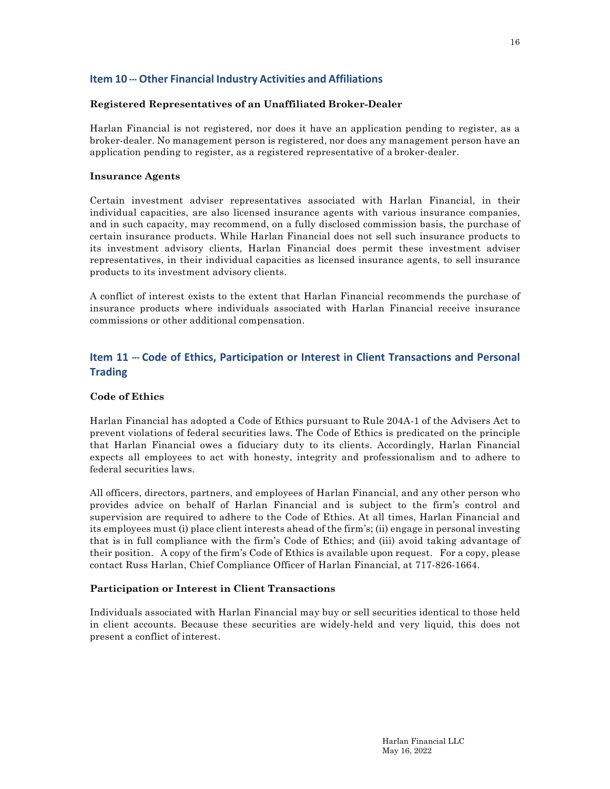# **Item 10 --- Other Financial Industry Activities and Affiliations**

## **Registered Representatives of an Unaffiliated Broker-Dealer**

Harlan Financial is not registered, nor does it have an application pending to register, as a broker-dealer. No management person is registered, nor does any management person have an application pending to register, as a registered representative of a broker-dealer.

## **Insurance Agents**

Certain investment adviser representatives associated with Harlan Financial, in their individual capacities, are also licensed insurance agents with various insurance companies, and in such capacity, may recommend, on a fully disclosed commission basis, the purchase of certain insurance products. While Harlan Financial does not sell such insurance products to its investment advisory clients, Harlan Financial does permit these investment adviser representatives, in their individual capacities as licensed insurance agents, to sell insurance products to its investment advisory clients.

A conflict of interest exists to the extent that Harlan Financial recommends the purchase of insurance products where individuals associated with Harlan Financial receive insurance commissions or other additional compensation.

# **Item 11 --- Code of Ethics, Participation or Interest in Client Transactions and Personal Trading**

## **Code of Ethics**

Harlan Financial has adopted a Code of Ethics pursuant to Rule 204A-1 of the Advisers Act to prevent violations of federal securities laws. The Code of Ethics is predicated on the principle that Harlan Financial owes a fiduciary duty to its clients. Accordingly, Harlan Financial expects all employees to act with honesty, integrity and professionalism and to adhere to federal securities laws.

All officers, directors, partners, and employees of Harlan Financial, and any other person who provides advice on behalf of Harlan Financial and is subject to the firm's control and supervision are required to adhere to the Code of Ethics. At all times, Harlan Financial and its employees must (i) place client interests ahead of the firm's; (ii) engage in personal investing that is in full compliance with the firm's Code of Ethics; and (iii) avoid taking advantage of their position. A copy of the firm's Code of Ethics is available upon request. For a copy, please contact Russ Harlan, Chief Compliance Officer of Harlan Financial, at 717-826-1664.

## **Participation or Interest in Client Transactions**

Individuals associated with Harlan Financial may buy or sell securities identical to those held in client accounts. Because these securities are widely-held and very liquid, this does not present a conflict of interest.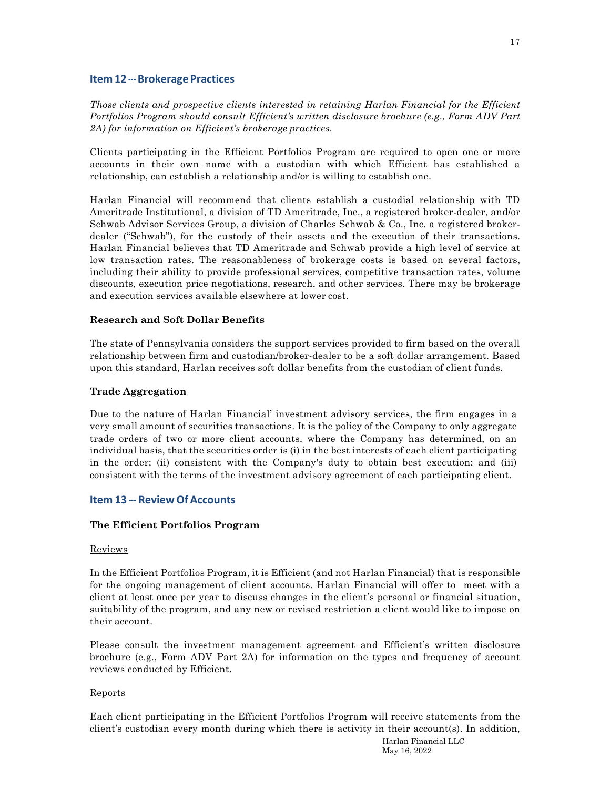#### **Item 12 --- Brokerage Practices**

*Those clients and prospective clients interested in retaining Harlan Financial for the Efficient Portfolios Program should consult Efficient's written disclosure brochure (e.g., Form ADV Part 2A) for information on Efficient's brokerage practices.*

Clients participating in the Efficient Portfolios Program are required to open one or more accounts in their own name with a custodian with which Efficient has established a relationship, can establish a relationship and/or is willing to establish one.

Harlan Financial will recommend that clients establish a custodial relationship with TD Ameritrade Institutional, a division of TD Ameritrade, Inc., a registered broker-dealer, and/or Schwab Advisor Services Group, a division of Charles Schwab & Co., Inc. a registered brokerdealer ("Schwab"), for the custody of their assets and the execution of their transactions. Harlan Financial believes that TD Ameritrade and Schwab provide a high level of service at low transaction rates. The reasonableness of brokerage costs is based on several factors, including their ability to provide professional services, competitive transaction rates, volume discounts, execution price negotiations, research, and other services. There may be brokerage and execution services available elsewhere at lower cost.

#### **Research and Soft Dollar Benefits**

The state of Pennsylvania considers the support services provided to firm based on the overall relationship between firm and custodian/broker-dealer to be a soft dollar arrangement. Based upon this standard, Harlan receives soft dollar benefits from the custodian of client funds.

#### **Trade Aggregation**

Due to the nature of Harlan Financial' investment advisory services, the firm engages in a very small amount of securities transactions. It is the policy of the Company to only aggregate trade orders of two or more client accounts, where the Company has determined, on an individual basis, that the securities order is (i) in the best interests of each client participating in the order; (ii) consistent with the Company's duty to obtain best execution; and (iii) consistent with the terms of the investment advisory agreement of each participating client.

#### **Item 13 --- Review Of Accounts**

#### **The Efficient Portfolios Program**

#### Reviews

In the Efficient Portfolios Program, it is Efficient (and not Harlan Financial) that is responsible for the ongoing management of client accounts. Harlan Financial will offer to meet with a client at least once per year to discuss changes in the client's personal or financial situation, suitability of the program, and any new or revised restriction a client would like to impose on their account.

Please consult the investment management agreement and Efficient's written disclosure brochure (e.g., Form ADV Part 2A) for information on the types and frequency of account reviews conducted by Efficient.

#### Reports

Each client participating in the Efficient Portfolios Program will receive statements from the client's custodian every month during which there is activity in their account(s). In addition,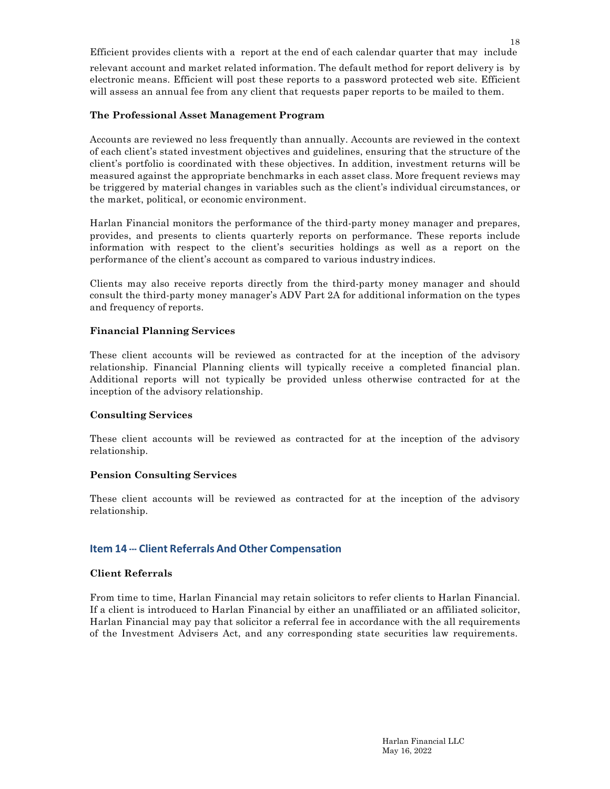Efficient provides clients with a report at the end of each calendar quarter that may include relevant account and market related information. The default method for report delivery is by electronic means. Efficient will post these reports to a password protected web site. Efficient will assess an annual fee from any client that requests paper reports to be mailed to them.

## **The Professional Asset Management Program**

Accounts are reviewed no less frequently than annually. Accounts are reviewed in the context of each client's stated investment objectives and guidelines, ensuring that the structure of the client's portfolio is coordinated with these objectives. In addition, investment returns will be measured against the appropriate benchmarks in each asset class. More frequent reviews may be triggered by material changes in variables such as the client's individual circumstances, or the market, political, or economic environment.

Harlan Financial monitors the performance of the third-party money manager and prepares, provides, and presents to clients quarterly reports on performance. These reports include information with respect to the client's securities holdings as well as a report on the performance of the client's account as compared to various industry indices.

Clients may also receive reports directly from the third-party money manager and should consult the third-party money manager's ADV Part 2A for additional information on the types and frequency of reports.

## **Financial Planning Services**

These client accounts will be reviewed as contracted for at the inception of the advisory relationship. Financial Planning clients will typically receive a completed financial plan. Additional reports will not typically be provided unless otherwise contracted for at the inception of the advisory relationship.

## **Consulting Services**

These client accounts will be reviewed as contracted for at the inception of the advisory relationship.

# **Pension Consulting Services**

These client accounts will be reviewed as contracted for at the inception of the advisory relationship.

# **Item 14 --- Client Referrals And Other Compensation**

## **Client Referrals**

From time to time, Harlan Financial may retain solicitors to refer clients to Harlan Financial. If a client is introduced to Harlan Financial by either an unaffiliated or an affiliated solicitor, Harlan Financial may pay that solicitor a referral fee in accordance with the all requirements of the Investment Advisers Act, and any corresponding state securities law requirements.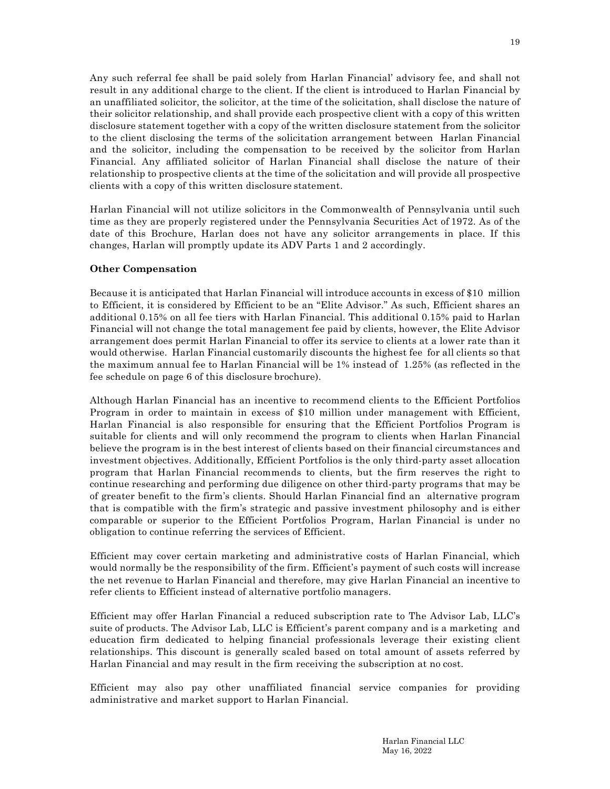Any such referral fee shall be paid solely from Harlan Financial' advisory fee, and shall not result in any additional charge to the client. If the client is introduced to Harlan Financial by an unaffiliated solicitor, the solicitor, at the time of the solicitation, shall disclose the nature of their solicitor relationship, and shall provide each prospective client with a copy of this written disclosure statement together with a copy of the written disclosure statement from the solicitor to the client disclosing the terms of the solicitation arrangement between Harlan Financial and the solicitor, including the compensation to be received by the solicitor from Harlan Financial. Any affiliated solicitor of Harlan Financial shall disclose the nature of their relationship to prospective clients at the time of the solicitation and will provide all prospective clients with a copy of this written disclosure statement.

Harlan Financial will not utilize solicitors in the Commonwealth of Pennsylvania until such time as they are properly registered under the Pennsylvania Securities Act of 1972. As of the date of this Brochure, Harlan does not have any solicitor arrangements in place. If this changes, Harlan will promptly update its ADV Parts 1 and 2 accordingly.

## **Other Compensation**

Because it is anticipated that Harlan Financial will introduce accounts in excess of \$10 million to Efficient, it is considered by Efficient to be an "Elite Advisor." As such, Efficient shares an additional 0.15% on all fee tiers with Harlan Financial. This additional 0.15% paid to Harlan Financial will not change the total management fee paid by clients, however, the Elite Advisor arrangement does permit Harlan Financial to offer its service to clients at a lower rate than it would otherwise. Harlan Financial customarily discounts the highest fee for all clients so that the maximum annual fee to Harlan Financial will be 1% instead of 1.25% (as reflected in the fee schedule on page 6 of this disclosure brochure).

Although Harlan Financial has an incentive to recommend clients to the Efficient Portfolios Program in order to maintain in excess of \$10 million under management with Efficient, Harlan Financial is also responsible for ensuring that the Efficient Portfolios Program is suitable for clients and will only recommend the program to clients when Harlan Financial believe the program is in the best interest of clients based on their financial circumstances and investment objectives. Additionally, Efficient Portfolios is the only third-party asset allocation program that Harlan Financial recommends to clients, but the firm reserves the right to continue researching and performing due diligence on other third-party programs that may be of greater benefit to the firm's clients. Should Harlan Financial find an alternative program that is compatible with the firm's strategic and passive investment philosophy and is either comparable or superior to the Efficient Portfolios Program, Harlan Financial is under no obligation to continue referring the services of Efficient.

Efficient may cover certain marketing and administrative costs of Harlan Financial, which would normally be the responsibility of the firm. Efficient's payment of such costs will increase the net revenue to Harlan Financial and therefore, may give Harlan Financial an incentive to refer clients to Efficient instead of alternative portfolio managers.

Efficient may offer Harlan Financial a reduced subscription rate to The Advisor Lab, LLC's suite of products. The Advisor Lab, LLC is Efficient's parent company and is a marketing and education firm dedicated to helping financial professionals leverage their existing client relationships. This discount is generally scaled based on total amount of assets referred by Harlan Financial and may result in the firm receiving the subscription at no cost.

Efficient may also pay other unaffiliated financial service companies for providing administrative and market support to Harlan Financial.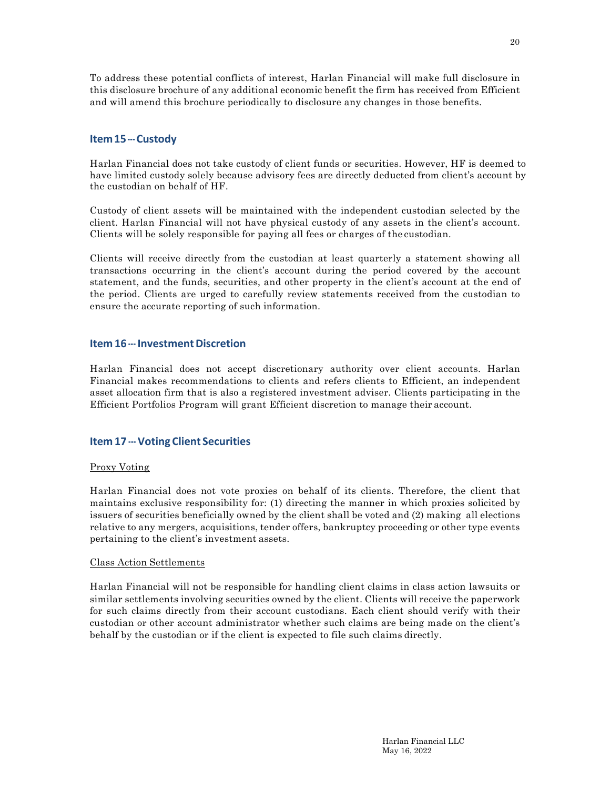To address these potential conflicts of interest, Harlan Financial will make full disclosure in this disclosure brochure of any additional economic benefit the firm has received from Efficient and will amend this brochure periodically to disclosure any changes in those benefits.

## **Item15--- Custody**

Harlan Financial does not take custody of client funds or securities. However, HF is deemed to have limited custody solely because advisory fees are directly deducted from client's account by the custodian on behalf of HF.

Custody of client assets will be maintained with the independent custodian selected by the client. Harlan Financial will not have physical custody of any assets in the client's account. Clients will be solely responsible for paying all fees or charges of the custodian.

Clients will receive directly from the custodian at least quarterly a statement showing all transactions occurring in the client's account during the period covered by the account statement, and the funds, securities, and other property in the client's account at the end of the period. Clients are urged to carefully review statements received from the custodian to ensure the accurate reporting of such information.

## **Item 16 --- Investment Discretion**

Harlan Financial does not accept discretionary authority over client accounts. Harlan Financial makes recommendations to clients and refers clients to Efficient, an independent asset allocation firm that is also a registered investment adviser. Clients participating in the Efficient Portfolios Program will grant Efficient discretion to manage their account.

# **Item 17 --- Voting Client Securities**

## Proxy Voting

Harlan Financial does not vote proxies on behalf of its clients. Therefore, the client that maintains exclusive responsibility for: (1) directing the manner in which proxies solicited by issuers of securities beneficially owned by the client shall be voted and (2) making all elections relative to any mergers, acquisitions, tender offers, bankruptcy proceeding or other type events pertaining to the client's investment assets.

#### Class Action Settlements

Harlan Financial will not be responsible for handling client claims in class action lawsuits or similar settlements involving securities owned by the client. Clients will receive the paperwork for such claims directly from their account custodians. Each client should verify with their custodian or other account administrator whether such claims are being made on the client's behalf by the custodian or if the client is expected to file such claims directly.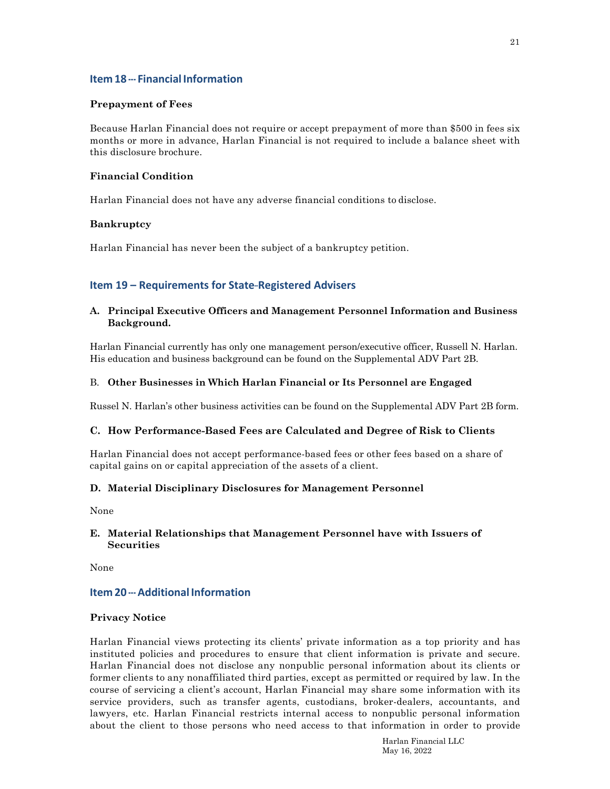# **Item 18 --- Financial Information**

#### **Prepayment of Fees**

Because Harlan Financial does not require or accept prepayment of more than \$500 in fees six months or more in advance, Harlan Financial is not required to include a balance sheet with this disclosure brochure.

## **Financial Condition**

Harlan Financial does not have any adverse financial conditions to disclose.

## **Bankruptcy**

Harlan Financial has never been the subject of a bankruptcy petition.

# **Item 19 – Requirements for State-Registered Advisers**

## **A. Principal Executive Officers and Management Personnel Information and Business Background.**

Harlan Financial currently has only one management person/executive officer, Russell N. Harlan. His education and business background can be found on the Supplemental ADV Part 2B.

#### B. **Other Businesses in Which Harlan Financial or Its Personnel are Engaged**

Russel N. Harlan's other business activities can be found on the Supplemental ADV Part 2B form.

## **C. How Performance-Based Fees are Calculated and Degree of Risk to Clients**

Harlan Financial does not accept performance-based fees or other fees based on a share of capital gains on or capital appreciation of the assets of a client.

## **D. Material Disciplinary Disclosures for Management Personnel**

None

## **E. Material Relationships that Management Personnel have with Issuers of Securities**

None

## **Item 20 --- Additional Information**

#### **Privacy Notice**

Harlan Financial views protecting its clients' private information as a top priority and has instituted policies and procedures to ensure that client information is private and secure. Harlan Financial does not disclose any nonpublic personal information about its clients or former clients to any nonaffiliated third parties, except as permitted or required by law. In the course of servicing a client's account, Harlan Financial may share some information with its service providers, such as transfer agents, custodians, broker-dealers, accountants, and lawyers, etc. Harlan Financial restricts internal access to nonpublic personal information about the client to those persons who need access to that information in order to provide